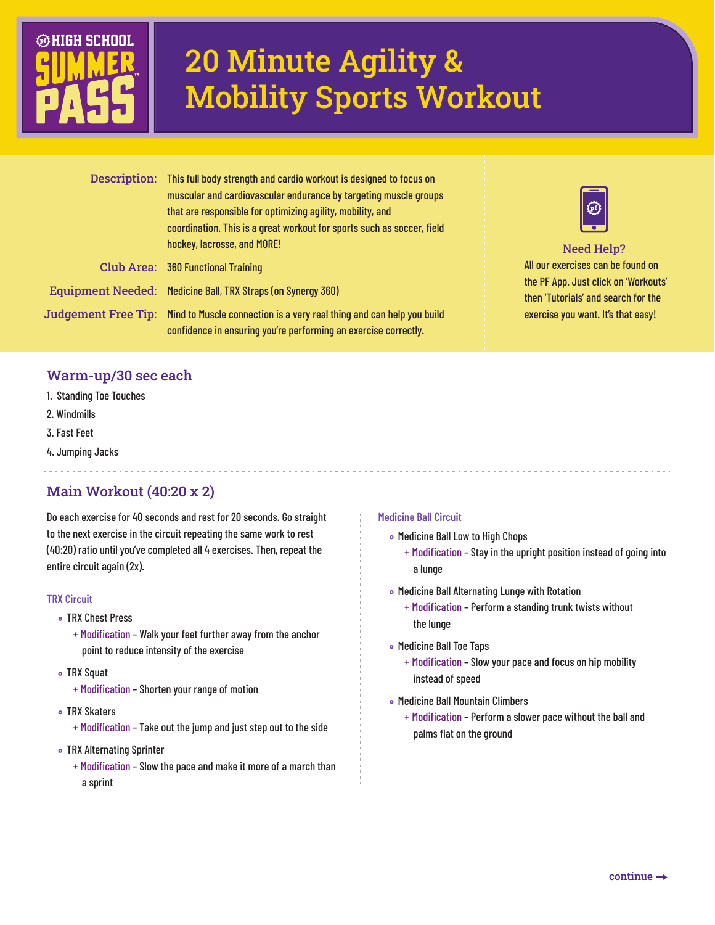

# 20 Minute Agility & Mobility Sports Workout

| Description: This full body strength and cardio workout is designed to focus on<br>muscular and cardiovascular endurance by targeting muscle groups<br>that are responsible for optimizing agility, mobility, and<br>coordination. This is a great workout for sports such as soccer, field<br>hockey, lacrosse, and MORE! |  |
|----------------------------------------------------------------------------------------------------------------------------------------------------------------------------------------------------------------------------------------------------------------------------------------------------------------------------|--|
| Club Area: 360 Functional Training                                                                                                                                                                                                                                                                                         |  |
| Equipment Needed: Medicine Ball, TRX Straps (on Synergy 360)                                                                                                                                                                                                                                                               |  |
| Judgement Free Tip: Mind to Muscle connection is a very real thing and can help you build<br>confidence in ensuring you're performing an exercise correctly.                                                                                                                                                               |  |



## All our exercises can be found on Need Help?

the PF App. Just click on 'Workouts' then 'Tutorials' and search for the exercise you want. It's that easy!

## Warm-up/30 sec each

- 1. Standing Toe Touches
- 2. Windmills

Jud

- 3. Fast Feet
- 4. Jumping Jacks

# Main Workout (40:20 x 2)

Do each exercise for 40 seconds and rest for 20 seconds. Go straight to the next exercise in the circuit repeating the same work to rest (40:20) ratio until you've completed all 4 exercises. Then, repeat the entire circuit again (2x).

#### **TRX Circuit**

- TRX Chest Press
	- + Modification Walk your feet further away from the anchor point to reduce intensity of the exercise
- TRX Squat
	- + Modification Shorten your range of motion
- TRX Skaters
	- + Modification Take out the jump and just step out to the side
- **TRX Alternating Sprinter** 
	- + Modification Slow the pace and make it more of a march than a sprint

## **Medicine Ball Circuit**

- Medicine Ball Low to High Chops
	- + Modification Stay in the upright position instead of going into a lunge
- Medicine Ball Alternating Lunge with Rotation
	- + Modification Perform a standing trunk twists without the lunge
- Medicine Ball Toe Taps
	- + Modification Slow your pace and focus on hip mobility instead of speed
- Medicine Ball Mountain Climbers
	- + Modification Perform a slower pace without the ball and palms flat on the ground